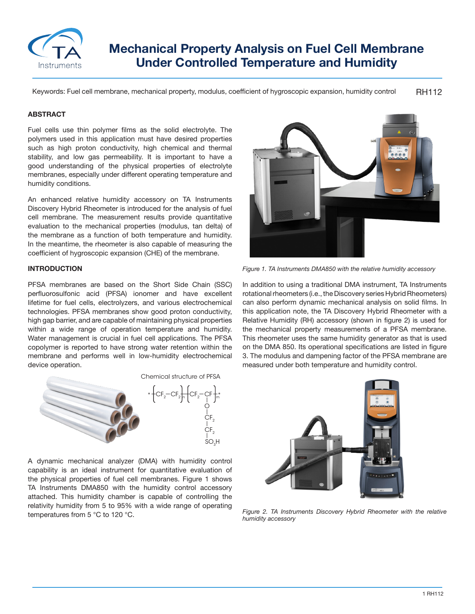

# **Mechanical Property Analysis on Fuel Cell Membrane Under Controlled Temperature and Humidity**

RH112 Keywords: Fuel cell membrane, mechanical property, modulus, coefficient of hygroscopic expansion, humidity control

#### **ABSTRACT**

Fuel cells use thin polymer films as the solid electrolyte. The polymers used in this application must have desired properties such as high proton conductivity, high chemical and thermal stability, and low gas permeability. It is important to have a good understanding of the physical properties of electrolyte membranes, especially under different operating temperature and humidity conditions.

An enhanced relative humidity accessory on TA Instruments Discovery Hybrid Rheometer is introduced for the analysis of fuel cell membrane. The measurement results provide quantitative evaluation to the mechanical properties (modulus, tan delta) of the membrane as a function of both temperature and humidity. In the meantime, the rheometer is also capable of measuring the coefficient of hygroscopic expansion (CHE) of the membrane.

## **INTRODUCTION**

PFSA membranes are based on the Short Side Chain (SSC) perfluorosulfonic acid (PFSA) ionomer and have excellent lifetime for fuel cells, electrolyzers, and various electrochemical technologies. PFSA membranes show good proton conductivity, high gap barrier, and are capable of maintaining physical properties within a wide range of operation temperature and humidity. Water management is crucial in fuel cell applications. The PFSA copolymer is reported to have strong water retention within the membrane and performs well in low-humidity electrochemical device operation.



A dynamic mechanical analyzer (DMA) with humidity control capability is an ideal instrument for quantitative evaluation of the physical properties of fuel cell membranes. Figure 1 shows TA Instruments DMA850 with the humidity control accessory attached. This humidity chamber is capable of controlling the relativity humidity from 5 to 95% with a wide range of operating temperatures from 5 °C to 120 °C.



*Figure 1. TA Instruments DMA850 with the relative humidity accessory*

In addition to using a traditional DMA instrument, TA Instruments rotational rheometers (i.e., the Discovery series Hybrid Rheometers) can also perform dynamic mechanical analysis on solid films. In this application note, the TA Discovery Hybrid Rheometer with a Relative Humidity (RH) accessory (shown in figure 2) is used for the mechanical property measurements of a PFSA membrane. This rheometer uses the same humidity generator as that is used on the DMA 850. Its operational specifications are listed in figure 3. The modulus and dampening factor of the PFSA membrane are measured under both temperature and humidity control.



*Figure 2. TA Instruments Discovery Hybrid Rheometer with the relative humidity accessory*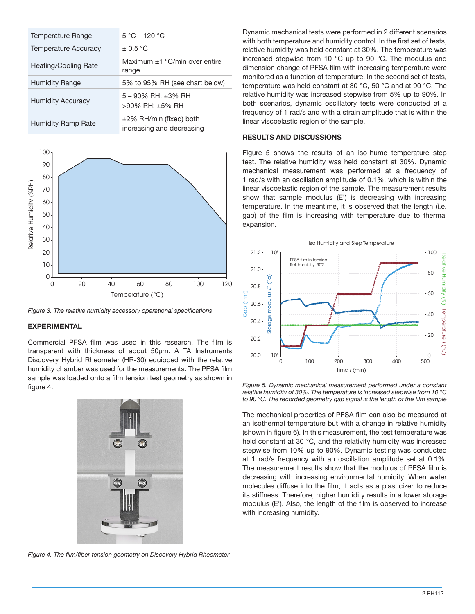| Temperature Range        | $5 °C - 120 °C$                                           |
|--------------------------|-----------------------------------------------------------|
| Temperature Accuracy     | $\pm$ 0.5 °C                                              |
| Heating/Cooling Rate     | Maximum $+1$ °C/min over entire<br>range                  |
| <b>Humidity Range</b>    | 5% to 95% RH (see chart below)                            |
| <b>Humidity Accuracy</b> | $5 - 90\%$ RH: $+3\%$ RH<br>$>90\%$ RH: +5% RH            |
| Humidity Ramp Rate       | $\pm$ 2% RH/min (fixed) both<br>increasing and decreasing |



*Figure 3. The relative humidity accessory operational specifications*

### **EXPERIMENTAL**

Commercial PFSA film was used in this research. The film is transparent with thickness of about 50µm. A TA Instruments Discovery Hybrid Rheometer (HR-30) equipped with the relative humidity chamber was used for the measurements. The PFSA film sample was loaded onto a film tension test geometry as shown in figure 4.



*Figure 4. The film/fiber tension geometry on Discovery Hybrid Rheometer*

Dynamic mechanical tests were performed in 2 different scenarios with both temperature and humidity control. In the first set of tests, relative humidity was held constant at 30%. The temperature was increased stepwise from 10 °C up to 90 °C. The modulus and dimension change of PFSA film with increasing temperature were monitored as a function of temperature. In the second set of tests, temperature was held constant at 30 °C, 50 °C and at 90 °C. The relative humidity was increased stepwise from 5% up to 90%. In both scenarios, dynamic oscillatory tests were conducted at a frequency of 1 rad/s and with a strain amplitude that is within the linear viscoelastic region of the sample.

## **RESULTS AND DISCUSSIONS**

Figure 5 shows the results of an iso-hume temperature step test. The relative humidity was held constant at 30%. Dynamic mechanical measurement was performed at a frequency of 1 rad/s with an oscillation amplitude of 0.1%, which is within the linear viscoelastic region of the sample. The measurement results show that sample modulus (E') is decreasing with increasing temperature. In the meantime, it is observed that the length (i.e. gap) of the film is increasing with temperature due to thermal expansion.



*Figure 5. Dynamic mechanical measurement performed under a constant relative humidity of 30%. The temperature is increased stepwise from 10 °C to 90 °C. The recorded geometry gap signal is the length of the film sample*

The mechanical properties of PFSA film can also be measured at an isothermal temperature but with a change in relative humidity (shown in figure 6). In this measurement, the test temperature was held constant at 30 °C, and the relativity humidity was increased stepwise from 10% up to 90%. Dynamic testing was conducted at 1 rad/s frequency with an oscillation amplitude set at 0.1%. The measurement results show that the modulus of PFSA film is decreasing with increasing environmental humidity. When water molecules diffuse into the film, it acts as a plasticizer to reduce its stiffness. Therefore, higher humidity results in a lower storage modulus (E'). Also, the length of the film is observed to increase with increasing humidity.